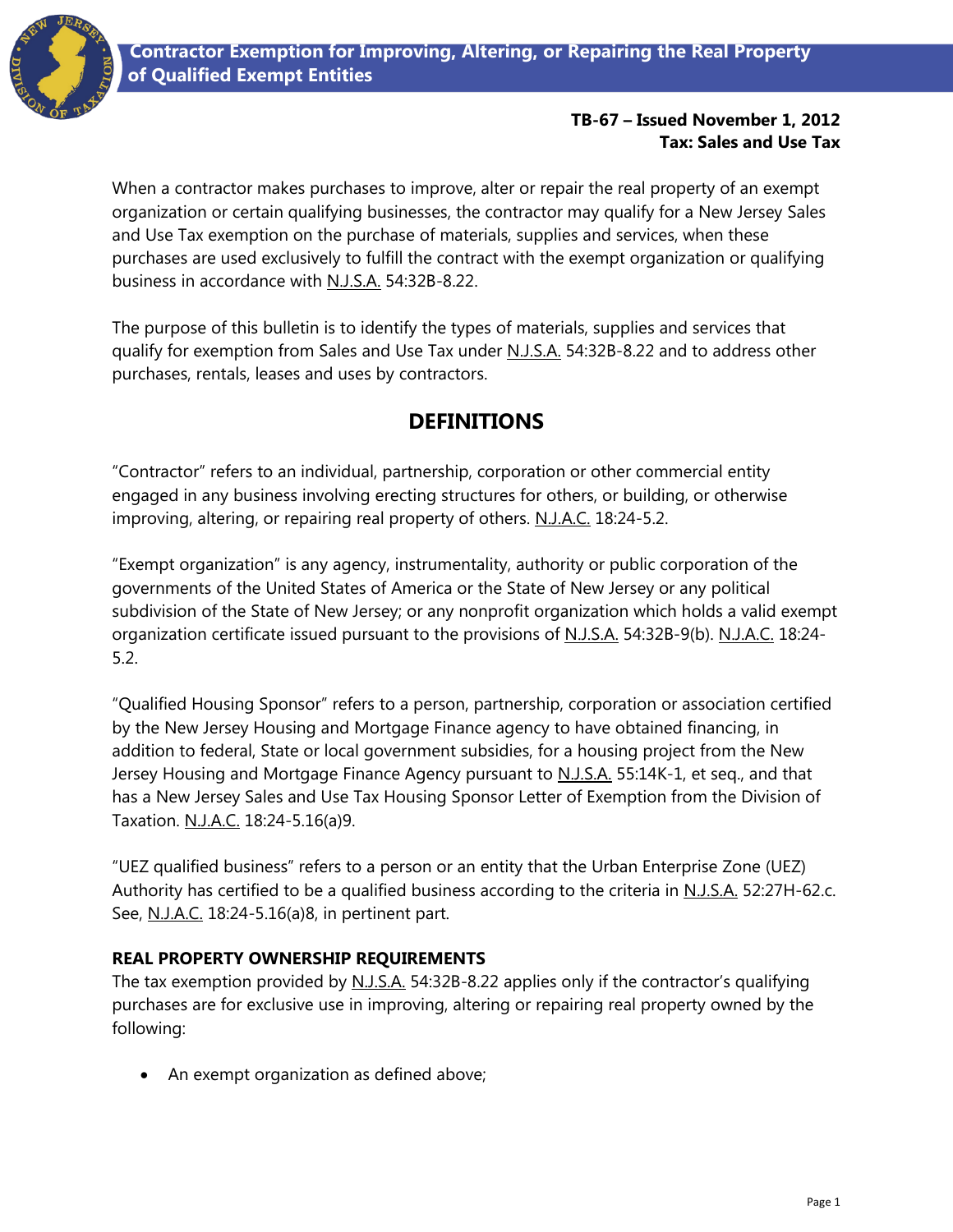### **TB-67 – Issued November 1, 2012 Tax: Sales and Use Tax**

When a contractor makes purchases to improve, alter or repair the real property of an exempt organization or certain qualifying businesses, the contractor may qualify for a New Jersey Sales and Use Tax exemption on the purchase of materials, supplies and services, when these purchases are used exclusively to fulfill the contract with the exempt organization or qualifying business in accordance with N.J.S.A. 54:32B-8.22.

The purpose of this bulletin is to identify the types of materials, supplies and services that qualify for exemption from Sales and Use Tax under N.J.S.A. 54:32B-8.22 and to address other purchases, rentals, leases and uses by contractors.

# **DEFINITIONS**

"Contractor" refers to an individual, partnership, corporation or other commercial entity engaged in any business involving erecting structures for others, or building, or otherwise improving, altering, or repairing real property of others. N.J.A.C. 18:24-5.2.

"Exempt organization" is any agency, instrumentality, authority or public corporation of the governments of the United States of America or the State of New Jersey or any political subdivision of the State of New Jersey; or any nonprofit organization which holds a valid exempt organization certificate issued pursuant to the provisions of N.J.S.A. 54:32B-9(b). N.J.A.C. 18:24- 5.2.

"Qualified Housing Sponsor" refers to a person, partnership, corporation or association certified by the New Jersey Housing and Mortgage Finance agency to have obtained financing, in addition to federal, State or local government subsidies, for a housing project from the New Jersey Housing and Mortgage Finance Agency pursuant to N.J.S.A. 55:14K-1, et seq., and that has a New Jersey Sales and Use Tax Housing Sponsor Letter of Exemption from the Division of Taxation. N.J.A.C. 18:24-5.16(a)9.

"UEZ qualified business" refers to a person or an entity that the Urban Enterprise Zone (UEZ) Authority has certified to be a qualified business according to the criteria in N.J.S.A. 52:27H-62.c. See, N.J.A.C. 18:24-5.16(a)8, in pertinent part.

### **REAL PROPERTY OWNERSHIP REQUIREMENTS**

The tax exemption provided by  $\underline{\text{N.J.S.A.}}$  54:32B-8.22 applies only if the contractor's qualifying purchases are for exclusive use in improving, altering or repairing real property owned by the following:

An exempt organization as defined above;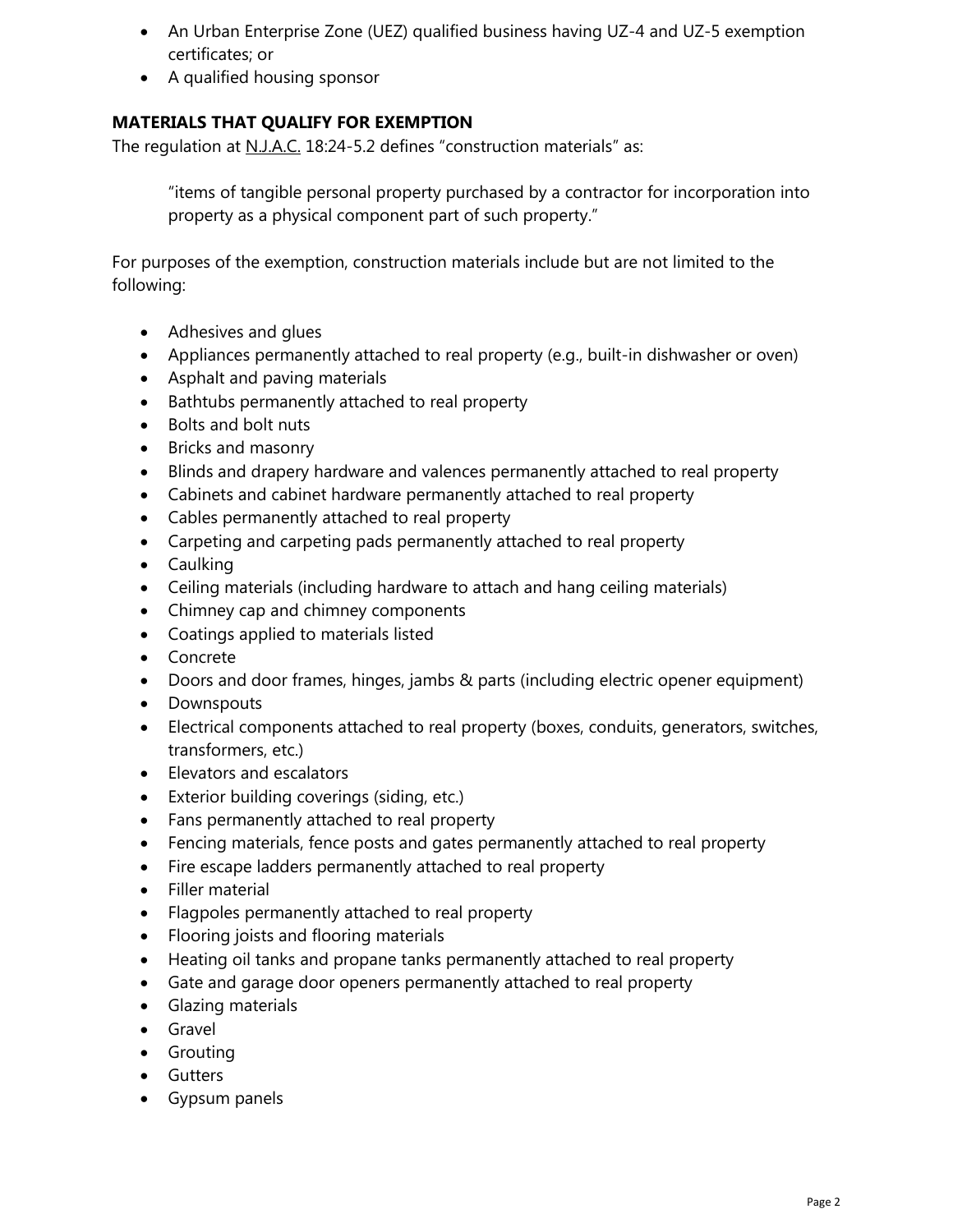- An Urban Enterprise Zone (UEZ) qualified business having UZ-4 and UZ-5 exemption certificates; or
- A qualified housing sponsor

### **MATERIALS THAT QUALIFY FOR EXEMPTION**

The regulation at N.J.A.C. 18:24-5.2 defines "construction materials" as:

"items of tangible personal property purchased by a contractor for incorporation into property as a physical component part of such property."

For purposes of the exemption, construction materials include but are not limited to the following:

- Adhesives and glues
- Appliances permanently attached to real property (e.g., built-in dishwasher or oven)
- Asphalt and paving materials
- Bathtubs permanently attached to real property
- Bolts and bolt nuts
- Bricks and masonry
- Blinds and drapery hardware and valences permanently attached to real property
- Cabinets and cabinet hardware permanently attached to real property
- Cables permanently attached to real property
- Carpeting and carpeting pads permanently attached to real property
- Caulking
- Ceiling materials (including hardware to attach and hang ceiling materials)
- Chimney cap and chimney components
- Coatings applied to materials listed
- Concrete
- Doors and door frames, hinges, jambs & parts (including electric opener equipment)
- Downspouts
- Electrical components attached to real property (boxes, conduits, generators, switches, transformers, etc.)
- Elevators and escalators
- Exterior building coverings (siding, etc.)
- Fans permanently attached to real property
- Fencing materials, fence posts and gates permanently attached to real property
- Fire escape ladders permanently attached to real property
- Filler material
- Flagpoles permanently attached to real property
- Flooring joists and flooring materials
- Heating oil tanks and propane tanks permanently attached to real property
- Gate and garage door openers permanently attached to real property
- **•** Glazing materials
- Gravel
- **•** Grouting
- **•** Gutters
- Gypsum panels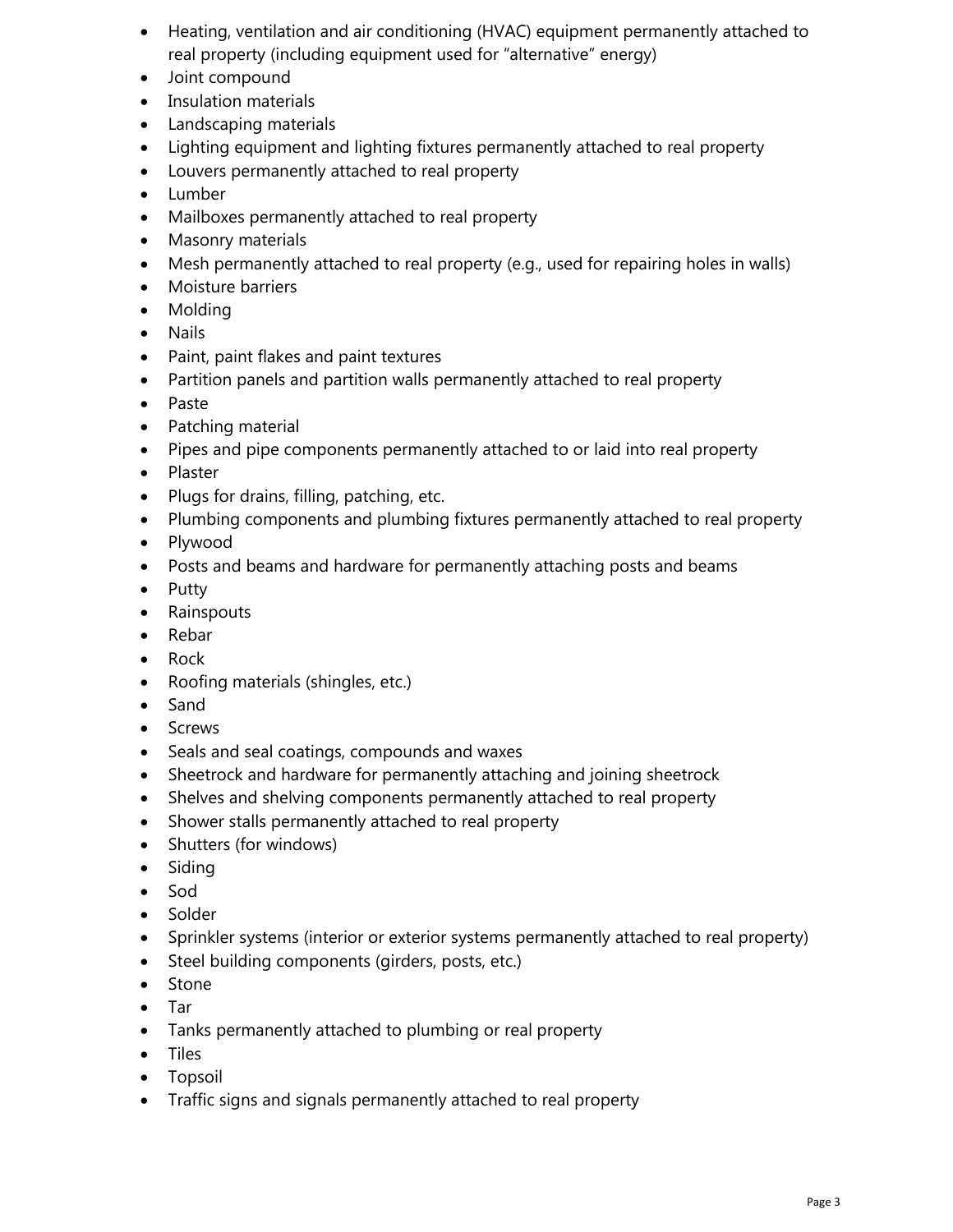- Heating, ventilation and air conditioning (HVAC) equipment permanently attached to real property (including equipment used for "alternative" energy)
- Joint compound
- Insulation materials
- Landscaping materials
- Lighting equipment and lighting fixtures permanently attached to real property
- Louvers permanently attached to real property
- Lumber
- Mailboxes permanently attached to real property
- Masonry materials
- Mesh permanently attached to real property (e.g., used for repairing holes in walls)
- Moisture barriers
- Molding
- Nails
- Paint, paint flakes and paint textures
- Partition panels and partition walls permanently attached to real property
- Paste
- Patching material
- Pipes and pipe components permanently attached to or laid into real property
- Plaster
- Plugs for drains, filling, patching, etc.
- Plumbing components and plumbing fixtures permanently attached to real property
- Plywood
- Posts and beams and hardware for permanently attaching posts and beams
- Putty
- Rainspouts
- Rebar
- Rock
- Roofing materials (shingles, etc.)
- Sand
- Screws
- Seals and seal coatings, compounds and waxes
- Sheetrock and hardware for permanently attaching and joining sheetrock
- Shelves and shelving components permanently attached to real property
- Shower stalls permanently attached to real property
- Shutters (for windows)
- Siding
- Sod
- Solder
- Sprinkler systems (interior or exterior systems permanently attached to real property)
- Steel building components (girders, posts, etc.)
- Stone
- Tar
- Tanks permanently attached to plumbing or real property
- Tiles
- Topsoil
- Traffic signs and signals permanently attached to real property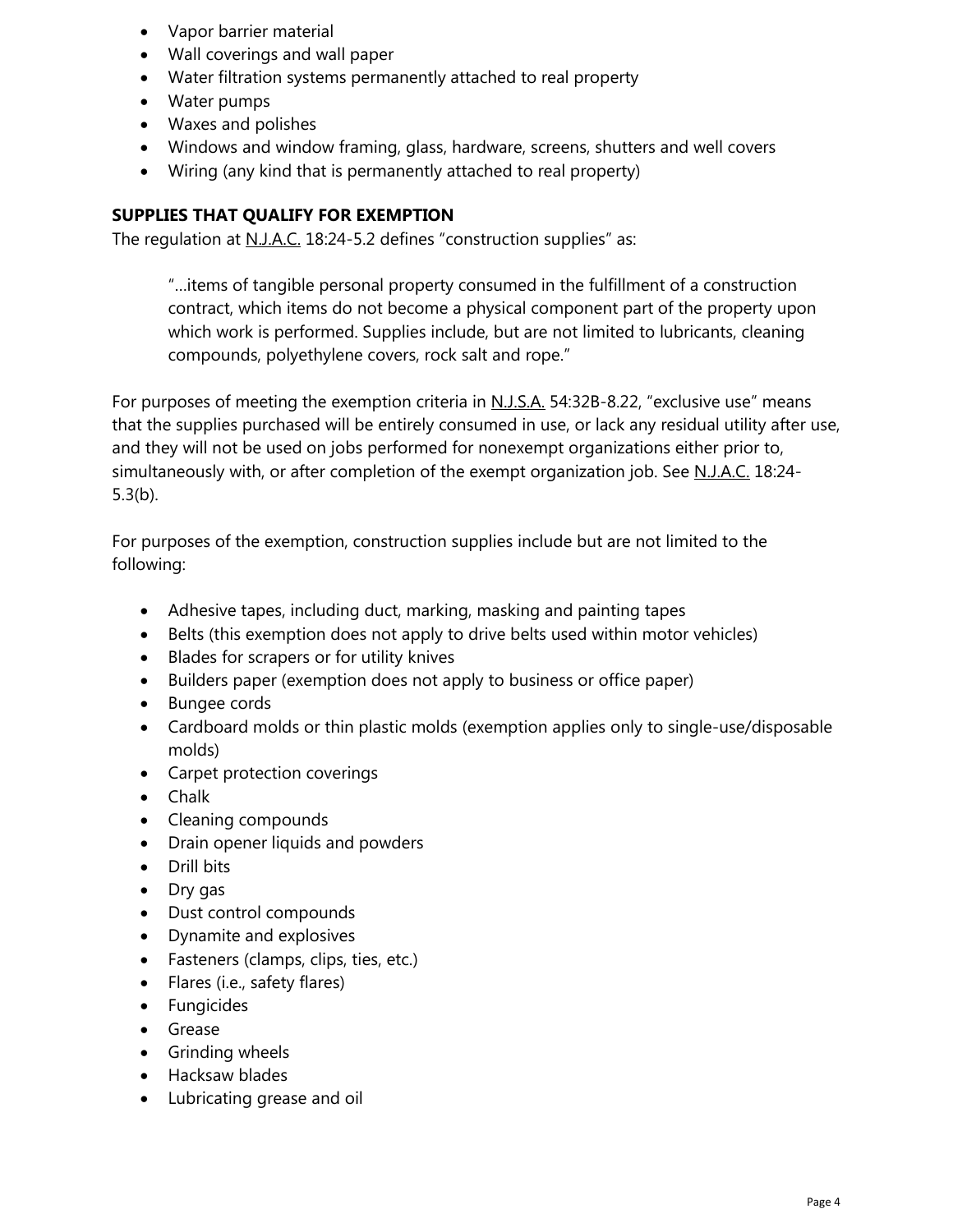- Vapor barrier material
- Wall coverings and wall paper
- Water filtration systems permanently attached to real property
- Water pumps
- Waxes and polishes
- Windows and window framing, glass, hardware, screens, shutters and well covers
- Wiring (any kind that is permanently attached to real property)

### **SUPPLIES THAT QUALIFY FOR EXEMPTION**

The regulation at N.J.A.C. 18:24-5.2 defines "construction supplies" as:

"…items of tangible personal property consumed in the fulfillment of a construction contract, which items do not become a physical component part of the property upon which work is performed. Supplies include, but are not limited to lubricants, cleaning compounds, polyethylene covers, rock salt and rope."

For purposes of meeting the exemption criteria in N.J.S.A. 54:32B-8.22, "exclusive use" means that the supplies purchased will be entirely consumed in use, or lack any residual utility after use, and they will not be used on jobs performed for nonexempt organizations either prior to, simultaneously with, or after completion of the exempt organization job. See N.J.A.C. 18:24- 5.3(b).

For purposes of the exemption, construction supplies include but are not limited to the following:

- Adhesive tapes, including duct, marking, masking and painting tapes
- Belts (this exemption does not apply to drive belts used within motor vehicles)
- Blades for scrapers or for utility knives
- Builders paper (exemption does not apply to business or office paper)
- Bungee cords
- Cardboard molds or thin plastic molds (exemption applies only to single-use/disposable molds)
- Carpet protection coverings
- Chalk
- Cleaning compounds
- Drain opener liquids and powders
- Drill bits
- Dry gas
- Dust control compounds
- Dynamite and explosives
- Fasteners (clamps, clips, ties, etc.)
- Flares (i.e., safety flares)
- **•** Fungicides
- Grease
- **•** Grinding wheels
- Hacksaw blades
- Lubricating grease and oil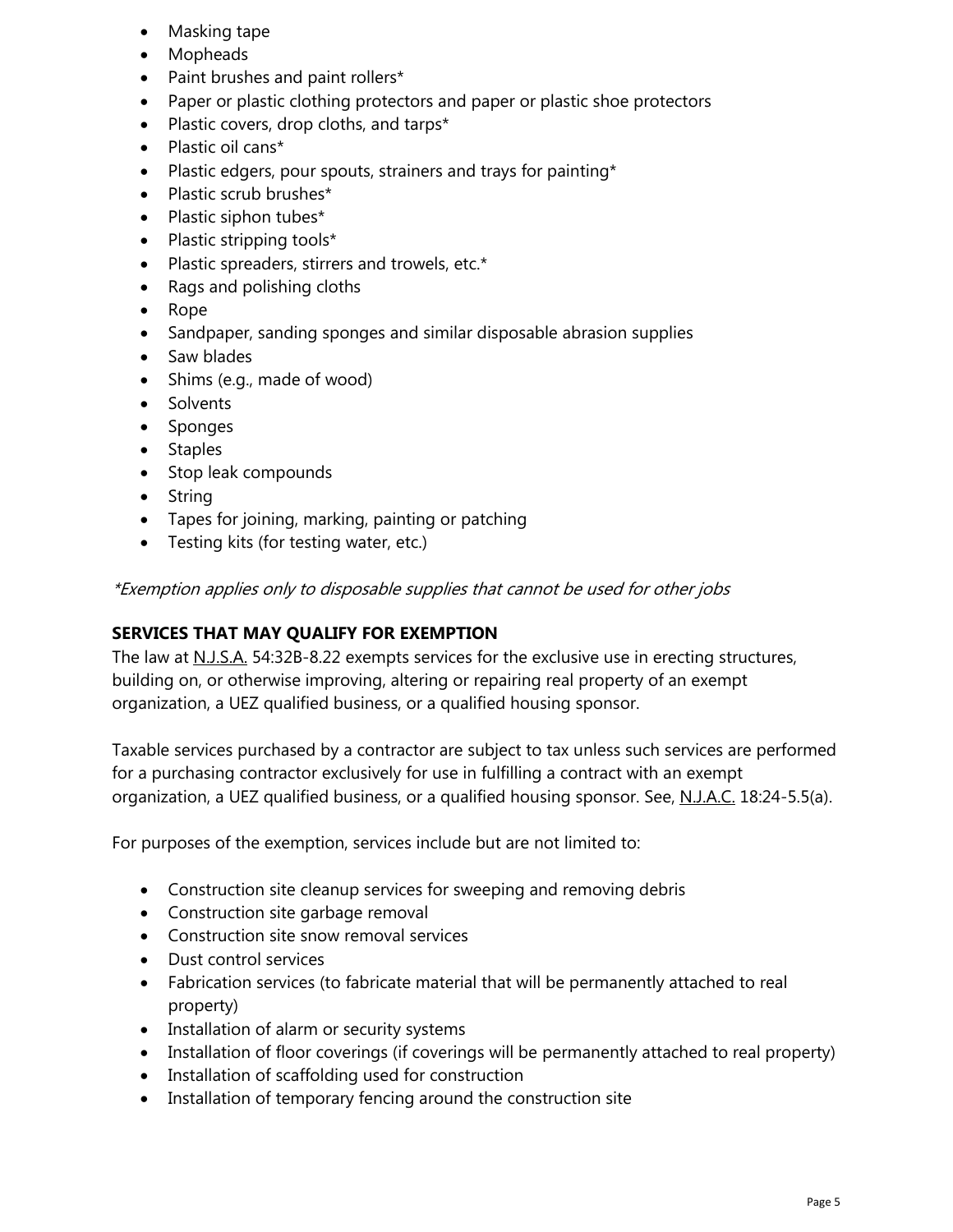- Masking tape
- Mopheads
- Paint brushes and paint rollers\*
- Paper or plastic clothing protectors and paper or plastic shoe protectors
- Plastic covers, drop cloths, and tarps\*
- Plastic oil cans\*
- Plastic edgers, pour spouts, strainers and trays for painting\*
- Plastic scrub brushes\*
- $\bullet$  Plastic siphon tubes\*
- Plastic stripping tools\*
- Plastic spreaders, stirrers and trowels, etc.\*
- Rags and polishing cloths
- Rope
- Sandpaper, sanding sponges and similar disposable abrasion supplies
- Saw blades
- Shims (e.g., made of wood)
- Solvents
- Sponges
- Staples
- Stop leak compounds
- String
- Tapes for joining, marking, painting or patching
- Testing kits (for testing water, etc.)

\*Exemption applies only to disposable supplies that cannot be used for other jobs

#### **SERVICES THAT MAY QUALIFY FOR EXEMPTION**

The law at N.J.S.A. 54:32B-8.22 exempts services for the exclusive use in erecting structures, building on, or otherwise improving, altering or repairing real property of an exempt organization, a UEZ qualified business, or a qualified housing sponsor.

Taxable services purchased by a contractor are subject to tax unless such services are performed for a purchasing contractor exclusively for use in fulfilling a contract with an exempt organization, a UEZ qualified business, or a qualified housing sponsor. See, N.J.A.C. 18:24-5.5(a).

For purposes of the exemption, services include but are not limited to:

- Construction site cleanup services for sweeping and removing debris
- Construction site garbage removal
- Construction site snow removal services
- Dust control services
- Fabrication services (to fabricate material that will be permanently attached to real property)
- Installation of alarm or security systems
- Installation of floor coverings (if coverings will be permanently attached to real property)
- Installation of scaffolding used for construction
- Installation of temporary fencing around the construction site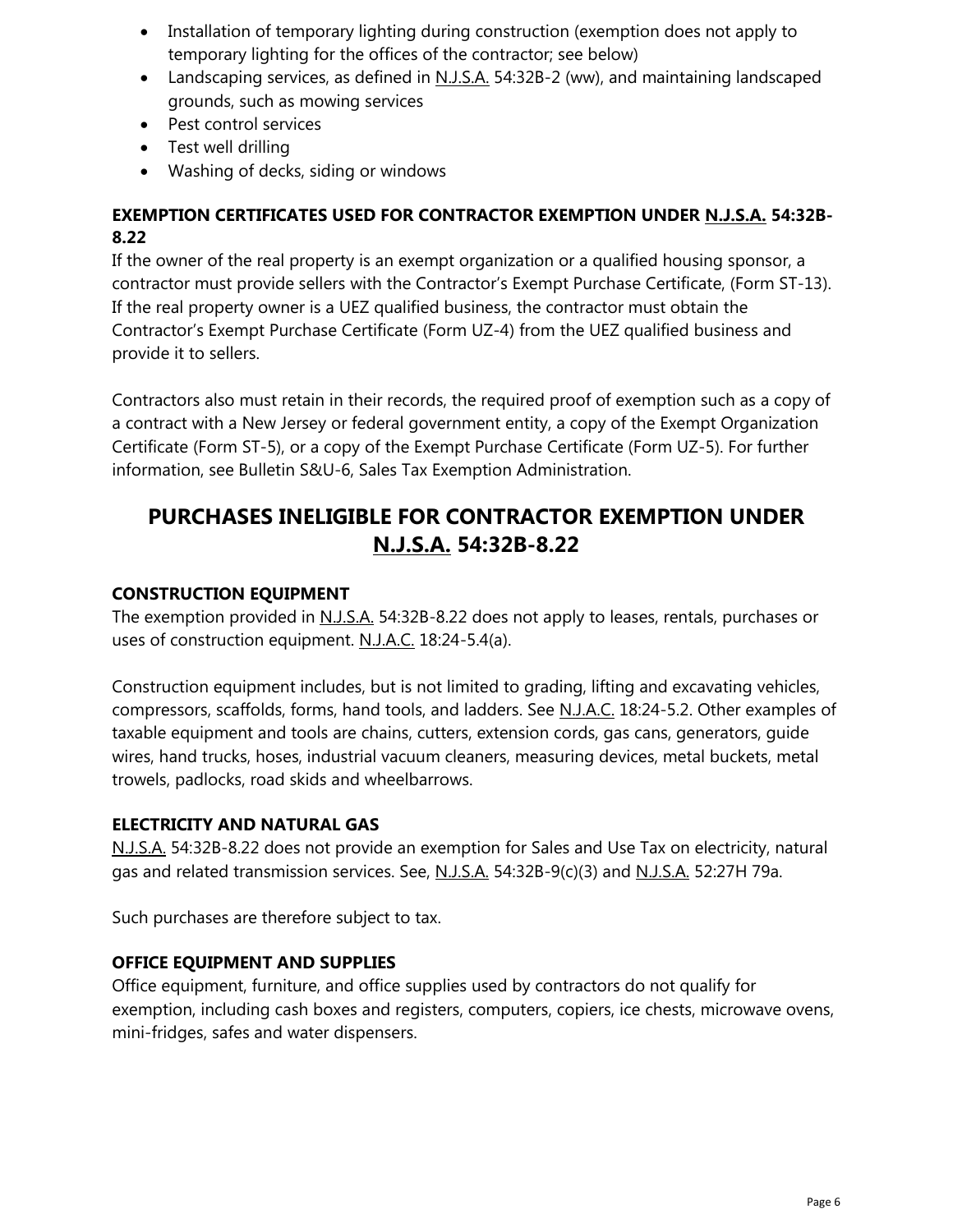- Installation of temporary lighting during construction (exemption does not apply to temporary lighting for the offices of the contractor; see below)
- Landscaping services, as defined in N.J.S.A. 54:32B-2 (ww), and maintaining landscaped grounds, such as mowing services
- Pest control services
- Test well drilling
- Washing of decks, siding or windows

### **EXEMPTION CERTIFICATES USED FOR CONTRACTOR EXEMPTION UNDER N.J.S.A. 54:32B-8.22**

If the owner of the real property is an exempt organization or a qualified housing sponsor, a contractor must provide sellers with the Contractor's Exempt Purchase Certificate, (Form ST-13). If the real property owner is a UEZ qualified business, the contractor must obtain the Contractor's Exempt Purchase Certificate (Form UZ-4) from the UEZ qualified business and provide it to sellers.

Contractors also must retain in their records, the required proof of exemption such as a copy of a contract with a New Jersey or federal government entity, a copy of the Exempt Organization Certificate (Form ST-5), or a copy of the Exempt Purchase Certificate (Form UZ-5). For further information, see Bulletin S&U-6, Sales Tax Exemption Administration.

# **PURCHASES INELIGIBLE FOR CONTRACTOR EXEMPTION UNDER N.J.S.A. 54:32B-8.22**

### **CONSTRUCTION EQUIPMENT**

The exemption provided in N.J.S.A. 54:32B-8.22 does not apply to leases, rentals, purchases or uses of construction equipment. N.J.A.C. 18:24-5.4(a).

Construction equipment includes, but is not limited to grading, lifting and excavating vehicles, compressors, scaffolds, forms, hand tools, and ladders. See N.J.A.C. 18:24-5.2. Other examples of taxable equipment and tools are chains, cutters, extension cords, gas cans, generators, guide wires, hand trucks, hoses, industrial vacuum cleaners, measuring devices, metal buckets, metal trowels, padlocks, road skids and wheelbarrows.

### **ELECTRICITY AND NATURAL GAS**

N.J.S.A. 54:32B-8.22 does not provide an exemption for Sales and Use Tax on electricity, natural gas and related transmission services. See, N.J.S.A. 54:32B-9(c)(3) and N.J.S.A. 52:27H 79a.

Such purchases are therefore subject to tax.

### **OFFICE EQUIPMENT AND SUPPLIES**

Office equipment, furniture, and office supplies used by contractors do not qualify for exemption, including cash boxes and registers, computers, copiers, ice chests, microwave ovens, mini-fridges, safes and water dispensers.